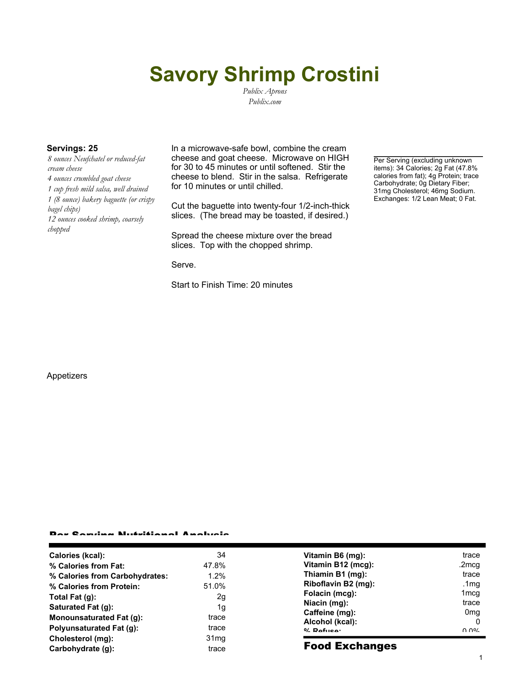# **Savory Shrimp Crostini**

*Publix Aprons Publix.com*

*8 ounces Neufchatel or reduced-fat cream cheese 4 ounces crumbled goat cheese 1 cup fresh mild salsa, well drained 1 (8 ounce) bakery baguette (or crispy bagel chips) 12 ounces cooked shrimp, coarsely chopped*

**Servings: 25** In a microwave-safe bowl, combine the cream cheese and goat cheese. Microwave on HIGH for 30 to 45 minutes or until softened. Stir the cheese to blend. Stir in the salsa. Refrigerate for 10 minutes or until chilled.

> Cut the baguette into twenty-four 1/2-inch-thick slices. (The bread may be toasted, if desired.)

Spread the cheese mixture over the bread slices. Top with the chopped shrimp.

Serve.

Start to Finish Time: 20 minutes

Per Serving (excluding unknown items): 34 Calories; 2g Fat (47.8% calories from fat); 4g Protein; trace Carbohydrate; 0g Dietary Fiber; 31mg Cholesterol; 46mg Sodium. Exchanges: 1/2 Lean Meat; 0 Fat.

#### Appetizers

### Per Serving Nutritional Analysis

| <b>Polyunsaturated Fat (g):</b><br>Cholesterol (mg): | trace<br>trace | Alcohol (kcal):<br>$0/2$ Pofileon | 0<br>በ በ%                |
|------------------------------------------------------|----------------|-----------------------------------|--------------------------|
| Saturated Fat (g):<br>Monounsaturated Fat (g):       | 1g             | Niacin (mg):<br>Caffeine (mg):    | trace<br>0 <sub>mg</sub> |
| Total Fat $(q)$ :                                    | 2g             | Folacin (mcg):                    | 1 <sub>mcg</sub>         |
| % Calories from Protein:                             | 51.0%          | Riboflavin B2 (mg):               | .1 $mg$                  |
| % Calories from Carbohydrates:                       | 1.2%           | Thiamin B1 (mg):                  | trace                    |
| % Calories from Fat:                                 | 47.8%          | Vitamin B12 (mcg):                | .2mcq                    |
| Calories (kcal):                                     | 34             | Vitamin B6 (mg):                  | trace                    |